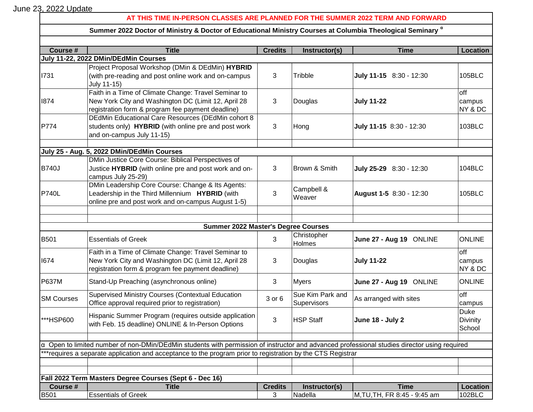June 23, 2022 Update

## **AT THIS TIME IN-PERSON CLASSES ARE PLANNED FOR THE SUMMER 2022 TERM AND FORWARD**

## **Summer 2022 Doctor of Ministry & Doctor of Educational Ministry Courses at Columbia Theological Seminary <sup>α</sup>**

| Course #                                                                                                                                            | <b>Title</b>                                                        | <b>Credits</b> | Instructor(s)                   | <b>Time</b>                  | Location                  |  |  |
|-----------------------------------------------------------------------------------------------------------------------------------------------------|---------------------------------------------------------------------|----------------|---------------------------------|------------------------------|---------------------------|--|--|
| July 11-22, 2022 DMin/DEdMin Courses                                                                                                                |                                                                     |                |                                 |                              |                           |  |  |
| 1731                                                                                                                                                | Project Proposal Workshop (DMin & DEdMin) HYBRID                    |                | Tribble                         | July 11-15 8:30 - 12:30      |                           |  |  |
|                                                                                                                                                     | (with pre-reading and post online work and on-campus<br>July 11-15) | 3              |                                 |                              | 105BLC                    |  |  |
|                                                                                                                                                     | Faith in a Time of Climate Change: Travel Seminar to                |                |                                 |                              | off                       |  |  |
| 1874                                                                                                                                                | New York City and Washington DC (Limit 12, April 28                 | 3              | Douglas                         | <b>July 11-22</b>            | campus                    |  |  |
|                                                                                                                                                     | registration form & program fee payment deadline)                   |                |                                 |                              | NY & DC                   |  |  |
|                                                                                                                                                     | DEdMin Educational Care Resources (DEdMin cohort 8                  |                |                                 |                              |                           |  |  |
| P774                                                                                                                                                | students only) <b>HYBRID</b> (with online pre and post work         | 3              | Hong                            | July 11-15 8:30 - 12:30      | 103BLC                    |  |  |
|                                                                                                                                                     | and on-campus July 11-15)                                           |                |                                 |                              |                           |  |  |
|                                                                                                                                                     |                                                                     |                |                                 |                              |                           |  |  |
|                                                                                                                                                     | July 25 - Aug. 5, 2022 DMin/DEdMin Courses                          |                |                                 |                              |                           |  |  |
|                                                                                                                                                     | DMin Justice Core Course: Biblical Perspectives of                  |                |                                 |                              |                           |  |  |
| <b>B740J</b>                                                                                                                                        | Justice HYBRID (with online pre and post work and on-               | 3              | Brown & Smith                   | July 25-29 8:30 - 12:30      | 104BLC                    |  |  |
|                                                                                                                                                     | campus July 25-29)                                                  |                |                                 |                              |                           |  |  |
|                                                                                                                                                     | DMin Leadership Core Course: Change & Its Agents:                   |                | Campbell &                      |                              |                           |  |  |
| <b>P740L</b>                                                                                                                                        | Leadership in the Third Millennium HYBRID (with                     | 3              | Weaver                          | August 1-5 8:30 - 12:30      | 105BLC                    |  |  |
|                                                                                                                                                     | online pre and post work and on-campus August 1-5)                  |                |                                 |                              |                           |  |  |
|                                                                                                                                                     |                                                                     |                |                                 |                              |                           |  |  |
|                                                                                                                                                     | <b>Summer 2022 Master's Degree Courses</b>                          |                |                                 |                              |                           |  |  |
|                                                                                                                                                     | Christopher                                                         |                |                                 |                              |                           |  |  |
| <b>B501</b>                                                                                                                                         | <b>Essentials of Greek</b>                                          | 3              | Holmes                          | June 27 - Aug 19 ONLINE      | <b>ONLINE</b>             |  |  |
|                                                                                                                                                     | Faith in a Time of Climate Change: Travel Seminar to                |                |                                 |                              | off                       |  |  |
| 1674                                                                                                                                                | New York City and Washington DC (Limit 12, April 28                 | 3              | Douglas                         | <b>July 11-22</b>            | campus                    |  |  |
|                                                                                                                                                     | registration form & program fee payment deadline)                   |                |                                 |                              | NY & DC                   |  |  |
| <b>P637M</b>                                                                                                                                        | Stand-Up Preaching (asynchronous online)                            | 3              | Myers                           | June 27 - Aug 19 ONLINE      | <b>ONLINE</b>             |  |  |
|                                                                                                                                                     |                                                                     |                |                                 |                              |                           |  |  |
| <b>SM Courses</b>                                                                                                                                   | <b>Supervised Ministry Courses (Contextual Education</b>            | 3 or 6         | Sue Kim Park and<br>Supervisors | As arranged with sites       | off                       |  |  |
|                                                                                                                                                     | Office approval required prior to registration)                     |                |                                 |                              | campus                    |  |  |
|                                                                                                                                                     | Hispanic Summer Program (requires outside application               |                | <b>HSP Staff</b>                |                              | <b>Duke</b>               |  |  |
| ***HSP600                                                                                                                                           | with Feb. 15 deadline) ONLINE & In-Person Options                   | 3              |                                 | <b>June 18 - July 2</b>      | <b>Divinity</b><br>School |  |  |
|                                                                                                                                                     |                                                                     |                |                                 |                              |                           |  |  |
| $\alpha$ Open to limited number of non-DMin/DEdMin students with permission of instructor and advanced professional studies director using required |                                                                     |                |                                 |                              |                           |  |  |
| *** requires a separate application and acceptance to the program prior to registration by the CTS Registrar                                        |                                                                     |                |                                 |                              |                           |  |  |
|                                                                                                                                                     |                                                                     |                |                                 |                              |                           |  |  |
|                                                                                                                                                     |                                                                     |                |                                 |                              |                           |  |  |
| Fall 2022 Term Masters Degree Courses (Sept 6 - Dec 16)                                                                                             |                                                                     |                |                                 |                              |                           |  |  |
| Course #                                                                                                                                            | <b>Title</b>                                                        | <b>Credits</b> | Instructor(s)                   | <b>Time</b>                  | Location                  |  |  |
| <b>B501</b>                                                                                                                                         | <b>Essentials of Greek</b>                                          | 3              | Nadella                         | M, TU, TH, FR 8:45 - 9:45 am | 102BLC                    |  |  |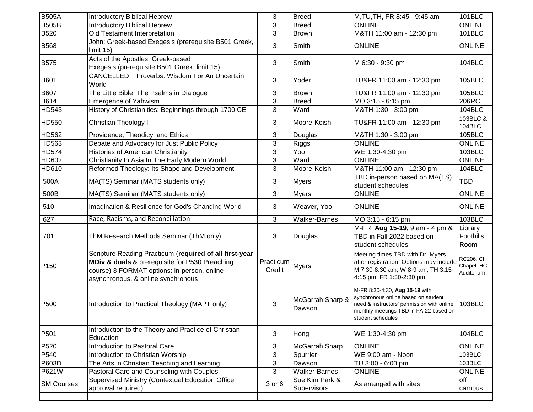| <b>B505A</b>      | <b>Introductory Biblical Hebrew</b>                                                                                                                                                            | 3                   | <b>Breed</b>                  | M,TU,TH, FR 8:45 - 9:45 am                                                                                                                                                         | $101$ BLC                                    |
|-------------------|------------------------------------------------------------------------------------------------------------------------------------------------------------------------------------------------|---------------------|-------------------------------|------------------------------------------------------------------------------------------------------------------------------------------------------------------------------------|----------------------------------------------|
| <b>B505B</b>      | <b>Introductory Biblical Hebrew</b>                                                                                                                                                            | 3                   | <b>Breed</b>                  | <b>ONLINE</b>                                                                                                                                                                      | <b>ONLINE</b>                                |
| B520              | Old Testament Interpretation I                                                                                                                                                                 | 3                   | <b>Brown</b>                  | M&TH 11:00 am - 12:30 pm                                                                                                                                                           | 101BLC                                       |
| <b>B568</b>       | John: Greek-based Exegesis (prerequisite B501 Greek,<br>limit $15$ )                                                                                                                           | 3                   | Smith                         | <b>ONLINE</b>                                                                                                                                                                      | <b>ONLINE</b>                                |
| <b>B575</b>       | Acts of the Apostles: Greek-based<br>Exegesis (prerequisite B501 Greek, limit 15)                                                                                                              | 3                   | Smith                         | M 6:30 - 9:30 pm                                                                                                                                                                   | 104BLC                                       |
| <b>B601</b>       | CANCELLED Proverbs: Wisdom For An Uncertain<br>World                                                                                                                                           | 3                   | Yoder                         | TU&FR 11:00 am - 12:30 pm                                                                                                                                                          | 105BLC                                       |
| B607              | The Little Bible: The Psalms in Dialogue                                                                                                                                                       | 3                   | <b>Brown</b>                  | TU&FR 11:00 am - 12:30 pm                                                                                                                                                          | 105BLC                                       |
| B614              | <b>Emergence of Yahwism</b>                                                                                                                                                                    | 3                   | <b>Breed</b>                  | MO 3:15 - 6:15 pm                                                                                                                                                                  | 206RC                                        |
| HD543             | History of Christianities: Beginnings through 1700 CE                                                                                                                                          | 3                   | Ward                          | M&TH 1:30 - 3:00 pm                                                                                                                                                                | 104BLC                                       |
| <b>HD550</b>      | <b>Christian Theology I</b>                                                                                                                                                                    | 3                   | Moore-Keish                   | TU&FR 11:00 am - 12:30 pm                                                                                                                                                          | 103BLC &<br>104BLC                           |
| <b>HD562</b>      | Providence, Theodicy, and Ethics                                                                                                                                                               | 3                   | Douglas                       | M&TH 1:30 - 3:00 pm                                                                                                                                                                | 105BLC                                       |
| HD563             | Debate and Advocacy for Just Public Policy                                                                                                                                                     | 3                   | Riggs                         | <b>ONLINE</b>                                                                                                                                                                      | <b>ONLINE</b>                                |
| <b>HD574</b>      | <b>Histories of American Christianity</b>                                                                                                                                                      | 3                   | Yoo                           | WE 1:30-4:30 pm                                                                                                                                                                    | 103BLC                                       |
| HD602             | Christianity In Asia In The Early Modern World                                                                                                                                                 | 3                   | Ward                          | <b>ONLINE</b>                                                                                                                                                                      | <b>ONLINE</b>                                |
| HD610             | Reformed Theology: Its Shape and Development                                                                                                                                                   | 3                   | Moore-Keish                   | M&TH 11:00 am - 12:30 pm                                                                                                                                                           | 104BLC                                       |
| <b>I500A</b>      | MA(TS) Seminar (MATS students only)                                                                                                                                                            | 3                   | <b>Myers</b>                  | TBD in-person based on MA(TS)<br>student schedules                                                                                                                                 | <b>TBD</b>                                   |
| <b>I500B</b>      | MA(TS) Seminar (MATS students only)                                                                                                                                                            | 3                   | <b>Myers</b>                  | <b>ONLINE</b>                                                                                                                                                                      | <b>ONLINE</b>                                |
| 1510              | Imagination & Resilience for God's Changing World                                                                                                                                              | 3                   | Weaver, Yoo                   | <b>ONLINE</b>                                                                                                                                                                      | <b>ONLINE</b>                                |
| 1627              | Race, Racisms, and Reconciliation                                                                                                                                                              | 3                   | <b>Walker-Barnes</b>          | MO 3:15 - 6:15 pm                                                                                                                                                                  | 103BLC                                       |
| 1701              | ThM Research Methods Seminar (ThM only)                                                                                                                                                        | 3                   | Douglas                       | M-FR Aug 15-19, 9 am - 4 pm &<br>TBD in Fall 2022 based on<br>student schedules                                                                                                    | Library<br>Foothills<br>Room                 |
| P <sub>150</sub>  | Scripture Reading Practicum (required of all first-year<br>MDiv & duals & prerequisite for P530 Preaching<br>course) 3 FORMAT options: in-person, online<br>asynchronous, & online synchronous | Practicum<br>Credit | <b>Myers</b>                  | Meeting times TBD with Dr. Myers<br>after registration; Options may include<br>M 7:30-8:30 am; W 8-9 am; TH 3:15-<br>4:15 pm; FR 1:30-2:30 pm                                      | <b>RC206, CH</b><br>Chapel, HC<br>Auditorium |
| P500              | Introduction to Practical Theology (MAPT only)                                                                                                                                                 | 3                   | McGarrah Sharp &<br>Dawson    | M-FR 8:30-4:30, Aug 15-19 with<br>synchronous online based on student<br>need & instructors' permission with online<br>monthly meetings TBD in FA-22 based on<br>student schedules | 103BLC                                       |
| P501              | Introduction to the Theory and Practice of Christian<br>Education                                                                                                                              | 3                   | Hong                          | WE 1:30-4:30 pm                                                                                                                                                                    | 104BLC                                       |
| P520              | Introduction to Pastoral Care                                                                                                                                                                  | 3                   | McGarrah Sharp                | <b>ONLINE</b>                                                                                                                                                                      | <b>ONLINE</b>                                |
| P540              | Introduction to Christian Worship                                                                                                                                                              | 3                   | Spurrier                      | WE 9:00 am - Noon                                                                                                                                                                  | 103BLC                                       |
| P603D             | The Arts in Christian Teaching and Learning                                                                                                                                                    | 3                   | Dawson                        | TU 3:00 - 6:00 pm                                                                                                                                                                  | 103BLC                                       |
| P621W             | Pastoral Care and Counseling with Couples                                                                                                                                                      | 3                   | Walker-Barnes                 | <b>ONLINE</b>                                                                                                                                                                      | <b>ONLINE</b>                                |
| <b>SM Courses</b> | Supervised Ministry (Contextual Education Office<br>approval required)                                                                                                                         | 3 or 6              | Sue Kim Park &<br>Supervisors | As arranged with sites                                                                                                                                                             | off<br>campus                                |
|                   |                                                                                                                                                                                                |                     |                               |                                                                                                                                                                                    |                                              |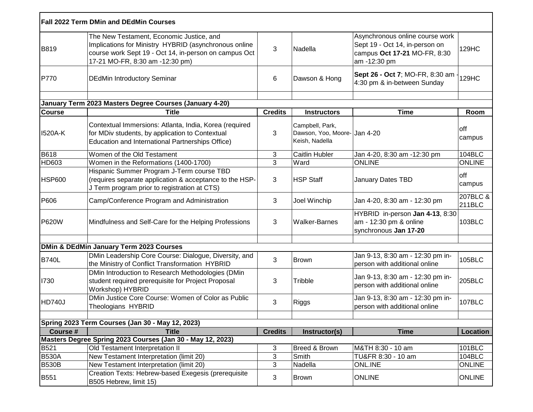|               | <b>Fall 2022 Term DMin and DEdMin Courses</b>                                                                                                                                                 |                |                                                                  |                                                                                                                   |                    |
|---------------|-----------------------------------------------------------------------------------------------------------------------------------------------------------------------------------------------|----------------|------------------------------------------------------------------|-------------------------------------------------------------------------------------------------------------------|--------------------|
| <b>B819</b>   | The New Testament, Economic Justice, and<br>Implications for Ministry HYBRID (asynchronous online<br>course work Sept 19 - Oct 14, in-person on campus Oct<br>17-21 MO-FR, 8:30 am -12:30 pm) | 3              | Nadella                                                          | Asynchronous online course work<br>Sept 19 - Oct 14, in-person on<br>campus Oct 17-21 MO-FR, 8:30<br>am -12:30 pm | 129HC              |
| P770          | <b>DEdMin Introductory Seminar</b>                                                                                                                                                            | 6              | Dawson & Hong                                                    | Sept 26 - Oct 7; MO-FR, 8:30 am<br>4:30 pm & in-between Sunday                                                    | 129HC              |
|               | January Term 2023 Masters Degree Courses (January 4-20)                                                                                                                                       |                |                                                                  |                                                                                                                   |                    |
| <b>Course</b> | <b>Title</b>                                                                                                                                                                                  | <b>Credits</b> | <b>Instructors</b>                                               | <b>Time</b>                                                                                                       | Room               |
| 1520A-K       | Contextual Immersions: Atlanta, India, Korea (required<br>for MDiv students, by application to Contextual<br>Education and International Partnerships Office)                                 | 3              | Campbell, Park,<br>Dawson, Yoo, Moore-Jan 4-20<br>Keish, Nadella |                                                                                                                   | off<br>campus      |
| <b>B618</b>   | Women of the Old Testament                                                                                                                                                                    | 3              | <b>Caitlin Hubler</b>                                            | Jan 4-20, 8:30 am -12:30 pm                                                                                       | 104BLC             |
| HD603         | Women in the Reformations (1400-1700)                                                                                                                                                         | 3              | Ward                                                             | <b>ONLINE</b>                                                                                                     | <b>ONLINE</b>      |
| <b>HSP600</b> | Hispanic Summer Program J-Term course TBD<br>(requires separate application & acceptance to the HSP-<br>J Term program prior to registration at CTS)                                          | 3              | <b>HSP Staff</b>                                                 | January Dates TBD                                                                                                 | off<br>campus      |
| P606          | Camp/Conference Program and Administration                                                                                                                                                    | 3              | Joel Winchip                                                     | Jan 4-20, 8:30 am - 12:30 pm                                                                                      | 207BLC &<br>211BLC |
| <b>P620W</b>  | Mindfulness and Self-Care for the Helping Professions                                                                                                                                         | 3              | <b>Walker-Barnes</b>                                             | HYBRID in-person Jan 4-13, 8:30<br>am - 12:30 pm & online<br>synchronous Jan 17-20                                | 103BLC             |
|               |                                                                                                                                                                                               |                |                                                                  |                                                                                                                   |                    |
|               | <b>DMin &amp; DEdMin January Term 2023 Courses</b>                                                                                                                                            |                |                                                                  |                                                                                                                   |                    |
| <b>B740L</b>  | DMin Leadership Core Course: Dialogue, Diversity, and<br>the Ministry of Conflict Transformation HYBRID                                                                                       | 3              | <b>Brown</b>                                                     | Jan 9-13, 8:30 am - 12:30 pm in-<br>person with additional online                                                 | 105BLC             |
| 1730          | DMin Introduction to Research Methodologies (DMin<br>student required prerequisite for Project Proposal<br>Workshop) HYBRID                                                                   | 3              | Tribble                                                          | Jan 9-13, 8:30 am - 12:30 pm in-<br>person with additional online                                                 | 205BLC             |
| HD740J        | DMin Justice Core Course: Women of Color as Public<br>Theologians HYBRID                                                                                                                      | 3              | Riggs                                                            | Jan 9-13, 8:30 am - 12:30 pm in-<br>person with additional online                                                 | <b>107BLC</b>      |
|               | Spring 2023 Term Courses (Jan 30 - May 12, 2023)                                                                                                                                              |                |                                                                  |                                                                                                                   |                    |
| Course #      | <b>Title</b>                                                                                                                                                                                  | <b>Credits</b> | Instructor(s)                                                    | <b>Time</b>                                                                                                       | Location           |
|               | Masters Degree Spring 2023 Courses (Jan 30 - May 12, 2023)                                                                                                                                    |                |                                                                  |                                                                                                                   |                    |
| <b>B521</b>   | Old Testament Interpretation II                                                                                                                                                               | 3              | Breed & Brown                                                    | M&TH 8:30 - 10 am                                                                                                 | 101BLC             |
| <b>B530A</b>  | New Testament Interpretation (limit 20)                                                                                                                                                       | 3              | Smith                                                            | TU&FR 8:30 - 10 am                                                                                                | 104BLC             |
| <b>B530B</b>  | New Testament Interpretation (limit 20)                                                                                                                                                       | 3              | Nadella                                                          | ONL.INE                                                                                                           | ONLINE             |
| <b>B551</b>   | Creation Texts: Hebrew-based Exegesis (prerequisite<br>B505 Hebrew, limit 15)                                                                                                                 | 3              | <b>Brown</b>                                                     | <b>ONLINE</b>                                                                                                     | <b>ONLINE</b>      |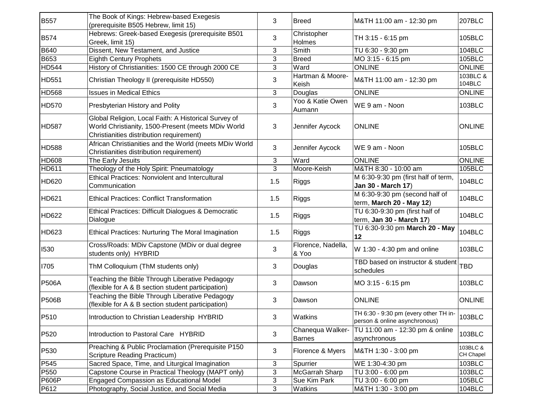| <b>B557</b>      | The Book of Kings: Hebrew-based Exegesis<br>(prerequisite B505 Hebrew, limit 15)                                                                       | 3   | <b>Breed</b>                      | M&TH 11:00 am - 12:30 pm                                               | 207BLC                |
|------------------|--------------------------------------------------------------------------------------------------------------------------------------------------------|-----|-----------------------------------|------------------------------------------------------------------------|-----------------------|
| <b>B574</b>      | Hebrews: Greek-based Exegesis (prerequisite B501<br>Greek, limit 15)                                                                                   | 3   | Christopher<br>Holmes             | TH 3:15 - 6:15 pm                                                      | 105BLC                |
| <b>B640</b>      | Dissent, New Testament, and Justice                                                                                                                    | 3   | Smith                             | TU 6:30 - 9:30 pm                                                      | <b>104BLC</b>         |
| <b>B653</b>      | <b>Eighth Century Prophets</b>                                                                                                                         | 3   | <b>Breed</b>                      | MO 3:15 - 6:15 pm                                                      | 105BLC                |
| <b>HD544</b>     | History of Christianities: 1500 CE through 2000 CE                                                                                                     | 3   | Ward                              | <b>ONLINE</b>                                                          | <b>ONLINE</b>         |
| HD551            | Christian Theology II (prerequisite HD550)                                                                                                             | 3   | Hartman & Moore-<br>Keish         | M&TH 11:00 am - 12:30 pm                                               | 103BLC &<br>104BLC    |
| <b>HD568</b>     | <b>Issues in Medical Ethics</b>                                                                                                                        | 3   | Douglas                           | <b>ONLINE</b>                                                          | <b>ONLINE</b>         |
| <b>HD570</b>     | Presbyterian History and Polity                                                                                                                        | 3   | Yoo & Katie Owen<br>Aumann        | WE 9 am - Noon                                                         | 103BLC                |
| <b>HD587</b>     | Global Religion, Local Faith: A Historical Survey of<br>World Christianity, 1500-Present (meets MDiv World<br>Christianities distribution requirement) | 3   | Jennifer Aycock                   | <b>ONLINE</b>                                                          | <b>ONLINE</b>         |
| <b>HD588</b>     | African Christianities and the World (meets MDiv World<br>Christianities distribution requirement)                                                     | 3   | Jennifer Aycock                   | WE 9 am - Noon                                                         | 105BLC                |
| <b>HD608</b>     | The Early Jesuits                                                                                                                                      | 3   | Ward                              | <b>ONLINE</b>                                                          | <b>ONLINE</b>         |
| <b>HD611</b>     | Theology of the Holy Spirit: Pneumatology                                                                                                              | 3   | Moore-Keish                       | M&TH 8:30 - 10:00 am                                                   | 105BLC                |
| HD620            | <b>Ethical Practices: Nonviolent and Intercultural</b><br>Communication                                                                                | 1.5 | Riggs                             | M 6:30-9:30 pm (first half of term,<br>Jan 30 - March 17)              | 104BLC                |
| HD621            | <b>Ethical Practices: Conflict Transformation</b>                                                                                                      | 1.5 | <b>Riggs</b>                      | M 6:30-9:30 pm (second half of<br>term, March 20 - May 12)             | 104BLC                |
| HD622            | Ethical Practices: Difficult Dialogues & Democratic<br>Dialogue                                                                                        | 1.5 | Riggs                             | TU 6:30-9:30 pm (first half of<br>term, Jan 30 - March 17)             | 104BLC                |
| HD623            | Ethical Practices: Nurturing The Moral Imagination                                                                                                     | 1.5 | Riggs                             | TU 6:30-9:30 pm March 20 - May<br>12                                   | 104BLC                |
| 1530             | Cross/Roads: MDiv Capstone (MDiv or dual degree<br>students only) HYBRID                                                                               | 3   | Florence, Nadella,<br>& Yoo       | W 1:30 - 4:30 pm and online                                            | 103BLC                |
| 1705             | ThM Colloquium (ThM students only)                                                                                                                     | 3   | Douglas                           | TBD based on instructor & student<br>schedules                         | <b>TBD</b>            |
| <b>P506A</b>     | Teaching the Bible Through Liberative Pedagogy<br>(flexible for A & B section student participation)                                                   | 3   | Dawson                            | MO 3:15 - 6:15 pm                                                      | 103BLC                |
| <b>P506B</b>     | Teaching the Bible Through Liberative Pedagogy<br>(flexible for A & B section student participation)                                                   | 3   | Dawson                            | <b>ONLINE</b>                                                          | <b>ONLINE</b>         |
| P510             | Introduction to Christian Leadership HYBRID                                                                                                            | 3   | Watkins                           | TH 6:30 - 9:30 pm (every other TH in-<br>person & online asynchronous) | 103BLC                |
| P520             | Introduction to Pastoral Care HYBRID                                                                                                                   | 3   | Chanequa Walker-<br><b>Barnes</b> | TU 11:00 am - 12:30 pm & online<br>asynchronous                        | 103BLC                |
| P530             | Preaching & Public Proclamation (Prerequisite P150<br>Scripture Reading Practicum)                                                                     | 3   | Florence & Myers                  | M&TH 1:30 - 3:00 pm                                                    | 103BLC &<br>CH Chapel |
| P <sub>545</sub> | Sacred Space, Time, and Liturgical Imagination                                                                                                         | 3   | Spurrier                          | WE 1:30-4:30 pm                                                        | 103BLC                |
| P550             | Capstone Course in Practical Theology (MAPT only)                                                                                                      | 3   | McGarrah Sharp                    | TU 3:00 - 6:00 pm                                                      | 103BLC                |
| <b>P606P</b>     | <b>Engaged Compassion as Educational Model</b>                                                                                                         | 3   | Sue Kim Park                      | TU 3:00 - 6:00 pm                                                      | 105BLC                |
| P612             | Photography, Social Justice, and Social Media                                                                                                          | 3   | Watkins                           | M&TH 1:30 - 3:00 pm                                                    | 104BLC                |